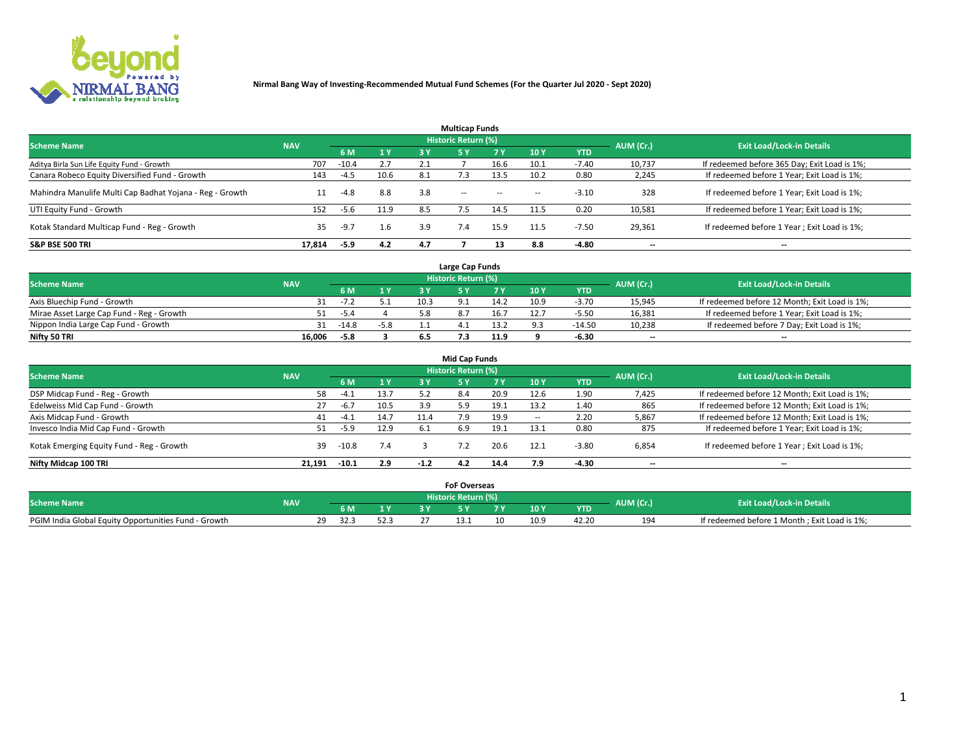

| <b>Multicap Funds</b>                                    |            |         |      |     |                     |           |                          |            |           |                                              |  |  |  |  |
|----------------------------------------------------------|------------|---------|------|-----|---------------------|-----------|--------------------------|------------|-----------|----------------------------------------------|--|--|--|--|
| <b>Scheme Name</b>                                       | <b>NAV</b> |         |      |     | Historic Return (%) |           |                          |            | AUM (Cr.) | <b>Exit Load/Lock-in Details</b>             |  |  |  |  |
|                                                          |            | 6 M     | 1Y   | 3 Y | <b>5Y</b>           | <b>7Y</b> | 10Y                      | <b>YTD</b> |           |                                              |  |  |  |  |
| Aditya Birla Sun Life Equity Fund - Growth               | 707        | $-10.4$ | 2.7  |     |                     | 16.6      | 10.1                     | $-7.40$    | 10,737    | If redeemed before 365 Day; Exit Load is 1%; |  |  |  |  |
| Canara Robeco Equity Diversified Fund - Growth           | 143        | $-4.5$  | 10.6 | 8.1 |                     | 13.5      | 10.2                     | 0.80       | 2,245     | If redeemed before 1 Year; Exit Load is 1%;  |  |  |  |  |
| Mahindra Manulife Multi Cap Badhat Yojana - Reg - Growth | 11         | $-4.8$  | 8.8  | 3.8 | $\sim$ $-$          | $\sim$    | $\overline{\phantom{a}}$ | $-3.10$    | 328       | If redeemed before 1 Year; Exit Load is 1%;  |  |  |  |  |
| UTI Equity Fund - Growth                                 | 152        | $-5.6$  | 11.9 | 8.5 |                     | 14.5      | 11.5                     | 0.20       | 10,581    | If redeemed before 1 Year; Exit Load is 1%;  |  |  |  |  |
| Kotak Standard Multicap Fund - Reg - Growth              | 35         | $-9.7$  | 1.6  | 3.9 |                     | 15.9      | 11.5                     | $-7.50$    | 29,361    | If redeemed before 1 Year; Exit Load is 1%;  |  |  |  |  |
| <b>S&amp;P BSE 500 TRI</b>                               | 17.814     | $-5.9$  | 4.2  | 4.7 |                     |           | 8.8                      | $-4.80$    | --        | $- -$                                        |  |  |  |  |

|                                           |            |         |        |      | Large Cap Funds     |      |      |            |                          |                                               |
|-------------------------------------------|------------|---------|--------|------|---------------------|------|------|------------|--------------------------|-----------------------------------------------|
| <b>Scheme Name</b>                        | <b>NAV</b> |         |        |      | Historic Return (%) |      |      |            | AUM (Cr.)                | <b>Exit Load/Lock-in Details</b>              |
|                                           |            | 6 M     | 1Y     |      |                     |      | 10 Y | <b>YTD</b> |                          |                                               |
| Axis Bluechip Fund - Growth               |            | $-1$    |        | 10.3 |                     | 14.2 | 10.9 | $-3.70$    | 15,945                   | If redeemed before 12 Month; Exit Load is 1%; |
| Mirae Asset Large Cap Fund - Reg - Growth |            | $-5.4$  |        |      |                     | 16.7 |      | $-5.50$    | 16,381                   | If redeemed before 1 Year; Exit Load is 1%;   |
| Nippon India Large Cap Fund - Growth      |            | $-14.8$ | $-5.8$ |      |                     | 13.2 |      | $-14.50$   | 10,238                   | If redeemed before 7 Day; Exit Load is 1%;    |
| Nifty 50 TRI                              | 16.006     | -5.8    |        |      |                     | 11.9 |      | 6.30       | $\overline{\phantom{a}}$ | $\overline{\phantom{a}}$                      |

| <b>Mid Cap Funds</b>                      |            |         |      |        |                            |       |      |            |                          |                                               |  |  |  |
|-------------------------------------------|------------|---------|------|--------|----------------------------|-------|------|------------|--------------------------|-----------------------------------------------|--|--|--|
| <b>Scheme Name</b>                        | <b>NAV</b> |         |      |        | <b>Historic Return (%)</b> |       |      |            | AUM (Cr.)                | <b>Exit Load/Lock-in Details</b>              |  |  |  |
|                                           |            | 6 M     | 1Y   | 3 Y    |                            | 7 V . | 10Y  | <b>YTD</b> |                          |                                               |  |  |  |
| DSP Midcap Fund - Reg - Growth            | 58         | -4.1    | 13.7 | 5.2    | 8.4                        | 20.9  | 12.6 | 1.90       | 7,425                    | If redeemed before 12 Month; Exit Load is 1%; |  |  |  |
| Edelweiss Mid Cap Fund - Growth           | 27         | $-6.7$  | 10.5 | 3.9    | 5.9                        | 19.1  | 13.2 | 1.40       | 865                      | If redeemed before 12 Month; Exit Load is 1%; |  |  |  |
| Axis Midcap Fund - Growth                 | 41         | -4.⊥    | 14.7 | 11.4   |                            | 19.9  |      | 2.20       | 5,867                    | If redeemed before 12 Month; Exit Load is 1%; |  |  |  |
| Invesco India Mid Cap Fund - Growth       | 51         | $-5.9$  | 12.9 | 6.1    | 6.9                        | 19.1  | 13.1 | 0.80       | 875                      | If redeemed before 1 Year; Exit Load is 1%;   |  |  |  |
| Kotak Emerging Equity Fund - Reg - Growth | 39         | $-10.8$ | 7.4  |        |                            | 20.6  | 12.1 | $-3.80$    | 6,854                    | If redeemed before 1 Year; Exit Load is 1%;   |  |  |  |
| Nifty Midcap 100 TRI                      | 21.191     | $-10.1$ | 2.9  | $-1.2$ | 4.2                        | 14.4  | 7.9  | -4.30      | $\overline{\phantom{a}}$ | $\overline{\phantom{a}}$                      |  |  |  |

|                                                      |            |                        |      | <b>FoF Overseas</b>        |    |      |            |           |                                              |
|------------------------------------------------------|------------|------------------------|------|----------------------------|----|------|------------|-----------|----------------------------------------------|
| <b>Scheme Name</b>                                   | <b>NAV</b> |                        |      | <b>Historic Return (%)</b> |    |      |            | AUM (Cr.) | <b>Exit Load/Lock-in Details</b>             |
|                                                      |            | 6 M                    |      |                            |    | 10Y  | <b>YTD</b> |           |                                              |
| PGIM India Global Equity Opportunities Fund - Growth |            | າດ<br>32.3<br><u>_</u> | 52.3 |                            | 10 | 10.9 | 42.20      | 194       | If redeemed before 1 Month; Exit Load is 1%; |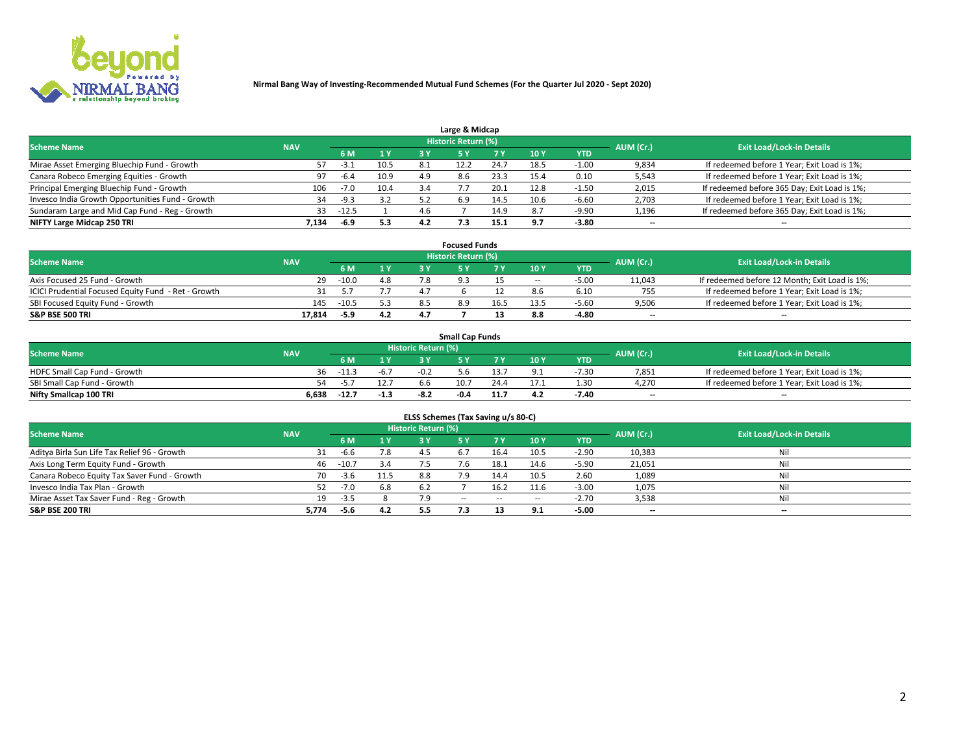

| Large & Midcap                                   |            |         |      |      |                     |      |      |            |                          |                                              |  |  |  |  |
|--------------------------------------------------|------------|---------|------|------|---------------------|------|------|------------|--------------------------|----------------------------------------------|--|--|--|--|
| <b>Scheme Name</b>                               | <b>NAV</b> |         |      |      | Historic Return (%) |      |      |            | AUM (Cr.)                | <b>Exit Load/Lock-in Details</b>             |  |  |  |  |
|                                                  |            | 6 M     | 1 Y  |      |                     | 7 V  | 10Y  | <b>YTD</b> |                          |                                              |  |  |  |  |
| Mirae Asset Emerging Bluechip Fund - Growth      |            | -3.1    | 10.5 | -8.1 |                     | 24.7 | 18.5 | 1.00       | 9,834                    | If redeemed before 1 Year; Exit Load is 1%;  |  |  |  |  |
| Canara Robeco Emerging Equities - Growth         | 97         | $-6.4$  | 10.9 | 4.9  | 8.6                 | 23.3 | 15.4 | 0.10       | 5,543                    | If redeemed before 1 Year; Exit Load is 1%;  |  |  |  |  |
| Principal Emerging Bluechip Fund - Growth        | 106        | $-7.0$  | 10.4 | 5.4  |                     | 20.1 | 12.8 | -1.50      | 2,015                    | If redeemed before 365 Day; Exit Load is 1%; |  |  |  |  |
| Invesco India Growth Opportunities Fund - Growth | 34         | $-9.3$  | 3.2  |      | 6.9                 | 14.5 | 10.6 | $-6.60$    | 2,703                    | If redeemed before 1 Year; Exit Load is 1%;  |  |  |  |  |
| Sundaram Large and Mid Cap Fund - Reg - Growth   | 33         | $-12.5$ |      | 4.b  |                     | 14.9 |      | $-9.90$    | 1,196                    | If redeemed before 365 Day; Exit Load is 1%; |  |  |  |  |
| NIFTY Large Midcap 250 TRI                       | 7.134      | -6.9    | 5.3  |      |                     | 15.1 | 9.7  | $-3.80$    | $\overline{\phantom{a}}$ | $- -$                                        |  |  |  |  |

|                                                     |            |         |     |     | <b>Focused Funds</b>       |      |        |            |                          |                                               |
|-----------------------------------------------------|------------|---------|-----|-----|----------------------------|------|--------|------------|--------------------------|-----------------------------------------------|
| <b>Scheme Name</b>                                  | <b>NAV</b> |         |     |     | <b>Historic Return (%)</b> |      |        |            | AUM (Cr.)                | <b>Exit Load/Lock-in Details</b>              |
|                                                     |            | 6 M     | 1 Y |     |                            |      | 10 Y   | <b>YTD</b> |                          |                                               |
| Axis Focused 25 Fund - Growth                       | 29         | $-10.0$ | 4.8 |     |                            |      | $\sim$ | $-5.00$    | 11,043                   | If redeemed before 12 Month; Exit Load is 1%; |
| ICICI Prudential Focused Equity Fund - Ret - Growth | 31         |         |     | 47  |                            |      |        | 6.10       | 755                      | If redeemed before 1 Year; Exit Load is 1%;   |
| SBI Focused Equity Fund - Growth                    | 145        | $-10.5$ | 5.3 |     |                            | 16.5 | 13.5   | $-5.6C$    | 9,506                    | If redeemed before 1 Year; Exit Load is 1%;   |
| S&P BSE 500 TRI                                     | 17.814     | -5.9    | 4.2 | 4.7 |                            |      |        | $-4.80$    | $\overline{\phantom{a}}$ | $- -$                                         |

| <b>Small Cap Funds</b>       |            |         |        |                     |      |      |                 |            |           |                                             |  |  |  |
|------------------------------|------------|---------|--------|---------------------|------|------|-----------------|------------|-----------|---------------------------------------------|--|--|--|
| <b>Scheme Name</b>           | <b>NAV</b> |         |        | Historic Return (%) |      |      |                 |            | AUM (Cr.) | <b>Exit Load/Lock-in Details</b>            |  |  |  |
|                              |            | 6 M     | 1 Y    |                     |      |      | 10 <sub>Y</sub> | <b>YTD</b> |           |                                             |  |  |  |
| HDFC Small Cap Fund - Growth | 36         | $-11.3$ | -6.7   | $-0.2$              | 5.b  |      |                 | -7.30      | 7,851     | If redeemed before 1 Year; Exit Load is 1%; |  |  |  |
| SBI Small Cap Fund - Growth  | 54.        | -5.     |        | 6.6                 | 10.7 | 24.4 |                 | 1.3C       | 4.270     | If redeemed before 1 Year; Exit Load is 1%; |  |  |  |
| Nifty Smallcap 100 TRI       | 6.638      | $-12.7$ | $-1.3$ | $-8.2$              | -0.4 | 11.7 | 4.2             | -7.40      | $-$       | $- -$                                       |  |  |  |

| ELSS Schemes (Tax Saving u/s 80-C)           |            |         |      |                            |            |        |                          |            |                          |                                  |  |  |  |
|----------------------------------------------|------------|---------|------|----------------------------|------------|--------|--------------------------|------------|--------------------------|----------------------------------|--|--|--|
| <b>Scheme Name</b>                           | <b>NAV</b> |         |      | <b>Historic Return (%)</b> |            |        |                          |            | AUM (Cr.)                | <b>Exit Load/Lock-in Details</b> |  |  |  |
|                                              |            | - 6 M   | 1Y   | 73 Y                       | <b>5Y</b>  | 7 Y    | 10 Y                     | <b>YTD</b> |                          |                                  |  |  |  |
| Aditya Birla Sun Life Tax Relief 96 - Growth |            | $-6.6$  | 7.8  |                            |            | 16.4   | 10.5                     | $-2.90$    | 10,383                   | Nil                              |  |  |  |
| Axis Long Term Equity Fund - Growth          | 46         | $-10.7$ | 3.4  | 7.5                        |            | 18.1   | 14.6                     | $-5.90$    | 21,051                   | Nil                              |  |  |  |
| Canara Robeco Equity Tax Saver Fund - Growth | 70         | $-3.6$  | 11.5 | 8.8                        | 7.9        | 14.4   | 10.5                     | 2.60       | 1,089                    | Nil                              |  |  |  |
| Invesco India Tax Plan - Growth              | 52         | $-7.0$  | 6.8  | 6.2                        |            | 16.2   | 11.6                     | $-3.00$    | 1,075                    | Nil                              |  |  |  |
| Mirae Asset Tax Saver Fund - Reg - Growth    | 19         | $-3.5$  |      |                            | $\sim$ $-$ | $\sim$ | $\overline{\phantom{a}}$ | $-2.70$    | 3,538                    | Nil                              |  |  |  |
| S&P BSE 200 TRI                              | 5,774      | -5.6    | 4.2  | 5.5                        |            |        | 9.1                      | $-5.00$    | $\overline{\phantom{a}}$ | $- -$                            |  |  |  |

# 2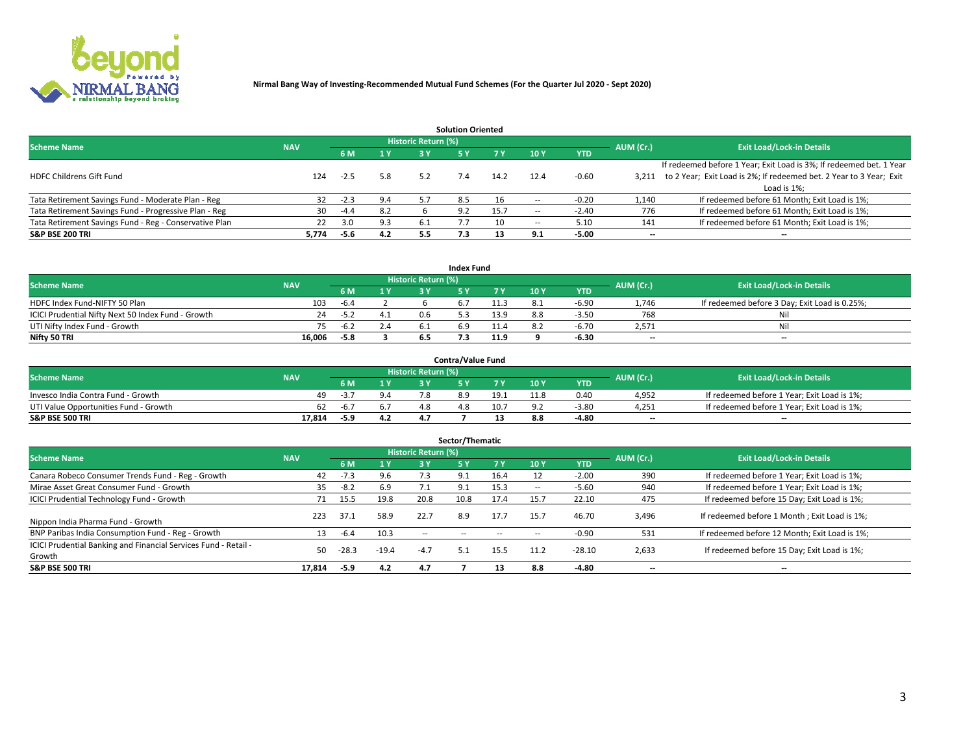

|                                                        |            |            |     |                            | <b>Solution Oriented</b> |      |                          |            |                          |                                                                     |
|--------------------------------------------------------|------------|------------|-----|----------------------------|--------------------------|------|--------------------------|------------|--------------------------|---------------------------------------------------------------------|
| <b>Scheme Name</b>                                     | <b>NAV</b> |            |     | <b>Historic Return (%)</b> |                          |      |                          |            | AUM (Cr.)                | <b>Exit Load/Lock-in Details</b>                                    |
|                                                        |            | <b>6 M</b> | 1 Y | 3 Y                        |                          |      | 10Y                      | <b>YTD</b> |                          |                                                                     |
|                                                        |            |            |     |                            |                          |      |                          |            |                          | If redeemed before 1 Year; Exit Load is 3%; If redeemed bet. 1 Year |
| <b>HDFC Childrens Gift Fund</b>                        | 124        | $-2.5$     | 5.8 | 5.2                        |                          | 14.2 | 12.4                     | $-0.60$    | 3.211                    | to 2 Year; Exit Load is 2%; If redeemed bet. 2 Year to 3 Year; Exit |
|                                                        |            |            |     |                            |                          |      |                          |            |                          | Load is 1%;                                                         |
| Tata Retirement Savings Fund - Moderate Plan - Reg     | 32         | $-2.3$     | 9.4 | 5.7                        | 8.5                      |      |                          | $-0.20$    | 1,140                    | If redeemed before 61 Month; Exit Load is 1%;                       |
| Tata Retirement Savings Fund - Progressive Plan - Reg  | 30         | -4.4       | 8.2 |                            | 9.2                      | 15.7 | $\overline{\phantom{a}}$ | $-2.40$    | 776                      | If redeemed before 61 Month; Exit Load is 1%;                       |
| Tata Retirement Savings Fund - Reg - Conservative Plan | 22         | 3.0        | 9.3 | -6.1                       |                          | 10   | --                       | 5.10       | 141                      | If redeemed before 61 Month; Exit Load is 1%;                       |
| S&P BSE 200 TRI                                        | 5,774      | $-5.6$     | 4.2 | 5.5                        | 7.3                      | 13   | 9.1                      | $-5.00$    | $\overline{\phantom{a}}$ | $- -$                                                               |

|                                                    |            |        |                              |                     | <b>Index Fund</b> |                |      |            |                          |                                               |
|----------------------------------------------------|------------|--------|------------------------------|---------------------|-------------------|----------------|------|------------|--------------------------|-----------------------------------------------|
| <b>Scheme Name</b>                                 | <b>NAV</b> |        |                              | Historic Return (%) |                   |                |      |            | AUM (Cr.)                | <b>Exit Load/Lock-in Details</b>              |
|                                                    |            |        | $\triangleq$ $\triangledown$ |                     |                   | 7 V            | 10 Y | <b>YTD</b> |                          |                                               |
| HDFC Index Fund-NIFTY 50 Plan                      | 103        | $-6.4$ |                              |                     |                   |                |      | $-6.90$    | 1.746                    | If redeemed before 3 Day; Exit Load is 0.25%; |
| ICICI Prudential Nifty Next 50 Index Fund - Growth | 24         | -5.2   |                              |                     |                   | 13.9           |      | $-3.5C$    | 768                      | Nil                                           |
| UTI Nifty Index Fund - Growth                      |            | $-6.2$ | 2.4                          |                     |                   | . <del>.</del> |      | -6.70      | 2,571                    | Nil                                           |
| Nifty 50 TRI                                       | 16.006     | $-5.8$ |                              |                     |                   | 11.9           |      | $-6.30$    | $\overline{\phantom{a}}$ | $- -$                                         |

|                                       |            |       |     |                            | <b>Contra/Value Fund</b> |      |     |            |                          |                                             |
|---------------------------------------|------------|-------|-----|----------------------------|--------------------------|------|-----|------------|--------------------------|---------------------------------------------|
| <b>Scheme Name</b>                    | <b>NAV</b> |       |     | <b>Historic Return (%)</b> |                          |      |     |            | AUM (Cr.)                | <b>Exit Load/Lock-in Details</b>            |
|                                       |            |       | 1 V |                            |                          | 7 V  | 10Y | <b>YTD</b> |                          |                                             |
| Invesco India Contra Fund - Growth    | 49.        | -5.   |     |                            |                          | 19.1 |     | 0.40       | 4,952                    | If redeemed before 1 Year; Exit Load is 1%; |
| UTI Value Opportunities Fund - Growth | -62        | -b. / |     |                            |                          | 10.7 |     | $-3.8C$    | 4,251                    | If redeemed before 1 Year; Exit Load is 1%; |
| <b>S&amp;P BSE 500 TRI</b>            | 17.814     | -5.9  | 4.2 |                            |                          |      |     | $-4.80$    | $\overline{\phantom{a}}$ | $- -$                                       |

| Sector/Thematic                                                           |            |         |         |                            |           |      |                          |            |           |                                               |  |  |  |
|---------------------------------------------------------------------------|------------|---------|---------|----------------------------|-----------|------|--------------------------|------------|-----------|-----------------------------------------------|--|--|--|
| <b>Scheme Name</b>                                                        | <b>NAV</b> |         |         | <b>Historic Return (%)</b> |           |      |                          |            | AUM (Cr.) | <b>Exit Load/Lock-in Details</b>              |  |  |  |
|                                                                           |            | 6 M     | 1 Y     | 3 Y                        | <b>5Y</b> | 7 Y  | 10Y                      | <b>YTD</b> |           |                                               |  |  |  |
| Canara Robeco Consumer Trends Fund - Reg - Growth                         | 42         | $-7.3$  | 9.6     | 7.3                        | 9.1       | 16.4 |                          | $-2.00$    | 390       | If redeemed before 1 Year; Exit Load is 1%;   |  |  |  |
| Mirae Asset Great Consumer Fund - Growth                                  | 35         | $-8.2$  | 6.9     |                            |           | 15.3 | $\overline{\phantom{a}}$ | $-5.60$    | 940       | If redeemed before 1 Year; Exit Load is 1%;   |  |  |  |
| <b>ICICI Prudential Technology Fund - Growth</b>                          | 71         | 15.5    | 19.8    | 20.8                       | 10.8      | 17.4 | 15.7                     | 22.10      | 475       | If redeemed before 15 Day; Exit Load is 1%;   |  |  |  |
| Nippon India Pharma Fund - Growth                                         | 223        | 37.1    | 58.9    | 22.7                       | 8.9       | 17.7 | 15.7                     | 46.70      | 3,496     | If redeemed before 1 Month; Exit Load is 1%;  |  |  |  |
| BNP Paribas India Consumption Fund - Reg - Growth                         | 13         | $-6.4$  | 10.3    | $\sim$ $-$                 | --        | --   | -                        | $-0.90$    | 531       | If redeemed before 12 Month; Exit Load is 1%; |  |  |  |
| ICICI Prudential Banking and Financial Services Fund - Retail -<br>Growth | 50         | $-28.3$ | $-19.4$ | $-4.7$                     |           | 15.5 | 11.2                     | $-28.10$   | 2,633     | If redeemed before 15 Day; Exit Load is 1%;   |  |  |  |
| <b>S&amp;P BSE 500 TRI</b>                                                | 17,814     | $-5.9$  | 4.2     | 4.7                        |           | 13   | 8.8                      | $-4.80$    |           | --                                            |  |  |  |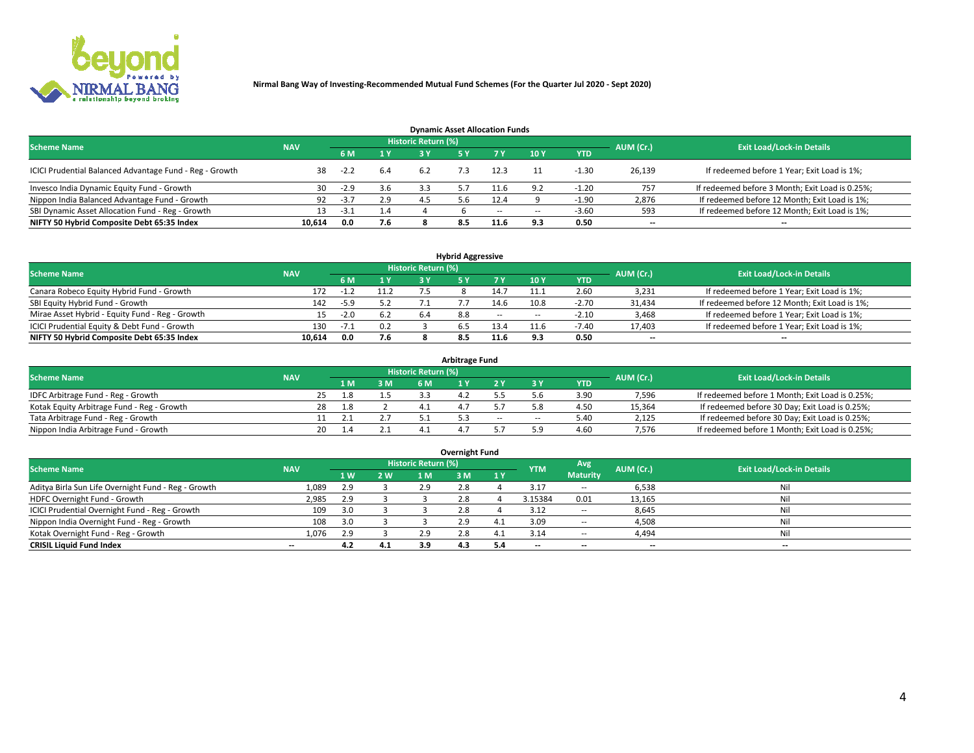

| <b>Dynamic Asset Allocation Funds</b>                   |            |        |                         |                     |  |        |        |            |                          |                                                 |  |  |  |  |
|---------------------------------------------------------|------------|--------|-------------------------|---------------------|--|--------|--------|------------|--------------------------|-------------------------------------------------|--|--|--|--|
| <b>Scheme Name</b>                                      | <b>NAV</b> |        |                         | Historic Return (%) |  |        |        |            | AUM (Cr.)                | <b>Exit Load/Lock-in Details</b>                |  |  |  |  |
|                                                         |            |        | $\mathbf{A} \mathbf{V}$ | 2 V                 |  |        | 10 Y   | <b>YTD</b> |                          |                                                 |  |  |  |  |
| ICICI Prudential Balanced Advantage Fund - Reg - Growth | 38         | $-2.2$ | 6.4                     | 6.2                 |  | 12.3   |        | -1.30      | 26,139                   | If redeemed before 1 Year; Exit Load is 1%;     |  |  |  |  |
| Invesco India Dynamic Equity Fund - Growth              | 30         | $-2.9$ | 3.6                     | 3.3                 |  | 11.b   | ۰ ۵    | $-1.20$    | 757                      | If redeemed before 3 Month; Exit Load is 0.25%; |  |  |  |  |
| Nippon India Balanced Advantage Fund - Growth           | 92         | $-3.7$ | 2.9                     | 4.5                 |  | 12.4   |        | $-1.90$    | 2,876                    | If redeemed before 12 Month; Exit Load is 1%;   |  |  |  |  |
| SBI Dynamic Asset Allocation Fund - Reg - Growth        |            | -3.1   | 1.4                     |                     |  | $\sim$ | $\sim$ | $-3.60$    | 593                      | If redeemed before 12 Month; Exit Load is 1%;   |  |  |  |  |
| NIFTY 50 Hybrid Composite Debt 65:35 Index              | 10,614     | 0.0    | 7.6                     |                     |  | 11.6   | 9.     | 0.50       | $\overline{\phantom{a}}$ | $- -$                                           |  |  |  |  |

| <b>Hybrid Aggressive</b>                        |                                                       |        |                         |     |     |            |            |            |        |                                               |  |  |  |  |  |
|-------------------------------------------------|-------------------------------------------------------|--------|-------------------------|-----|-----|------------|------------|------------|--------|-----------------------------------------------|--|--|--|--|--|
| <b>Scheme Name</b>                              | <b>Historic Return (%)</b><br>AUM (Cr.)<br><b>NAV</b> |        |                         |     |     |            |            |            |        |                                               |  |  |  |  |  |
|                                                 |                                                       |        | $\mathbf{A} \mathbf{V}$ | R V |     |            | <b>10Y</b> | <b>YTD</b> |        | <b>Exit Load/Lock-in Details</b>              |  |  |  |  |  |
| Canara Robeco Equity Hybrid Fund - Growth       | 172                                                   | - 1 -  | 11.2                    |     |     | 4.7ء       |            | 2.60       | 3,231  | If redeemed before 1 Year; Exit Load is 1%;   |  |  |  |  |  |
| SBI Equity Hybrid Fund - Growth                 | 142                                                   | $-5.9$ |                         |     |     | 14.6       | 10.8       | $-2.70$    | 31,434 | If redeemed before 12 Month; Exit Load is 1%; |  |  |  |  |  |
| Mirae Asset Hybrid - Equity Fund - Reg - Growth |                                                       | $-2.0$ |                         | 6.4 | 8.8 | $\sim$ $-$ | $\sim$     | $-2.10$    | 3,468  | If redeemed before 1 Year; Exit Load is 1%;   |  |  |  |  |  |
| ICICI Prudential Equity & Debt Fund - Growth    | 130                                                   | -7.1   | 0.2                     |     |     | 13.4       |            | $-7.40$    | 17,403 | If redeemed before 1 Year; Exit Load is 1%;   |  |  |  |  |  |
| NIFTY 50 Hybrid Composite Debt 65:35 Index      | 10.614                                                | 0.0    | 7.6                     |     |     | 11.6       |            | 0.50       | --     | $- -$                                         |  |  |  |  |  |

| <b>Arbitrage Fund</b>                      |            |                                  |     |     |  |  |       |        |            |        |                                                 |  |  |  |
|--------------------------------------------|------------|----------------------------------|-----|-----|--|--|-------|--------|------------|--------|-------------------------------------------------|--|--|--|
| <b>Scheme Name</b>                         | AUM (Cr.)  | <b>Exit Load/Lock-in Details</b> |     |     |  |  |       |        |            |        |                                                 |  |  |  |
|                                            | <b>NAV</b> |                                  | 1 M | 3 M |  |  |       |        | <b>YTD</b> |        |                                                 |  |  |  |
| IDFC Arbitrage Fund - Reg - Growth         |            |                                  | '.8 |     |  |  |       |        | 3.9C       | 7,596  | If redeemed before 1 Month; Exit Load is 0.25%; |  |  |  |
| Kotak Equity Arbitrage Fund - Reg - Growth |            | 28                               | l 8 |     |  |  |       |        | 4.5C       | 15,364 | If redeemed before 30 Day; Exit Load is 0.25%;  |  |  |  |
| Tata Arbitrage Fund - Reg - Growth         |            |                                  |     |     |  |  | $- -$ | $\sim$ | 5.40       | 2,125  | If redeemed before 30 Day; Exit Load is 0.25%;  |  |  |  |
| Nippon India Arbitrage Fund - Growth       |            | 20                               |     |     |  |  |       |        | 4.60       | 7,576  | If redeemed before 1 Month; Exit Load is 0.25%; |  |  |  |

| Overnight Fund                                      |            |     |     |                            |     |     |            |                 |                          |                                  |  |  |  |  |
|-----------------------------------------------------|------------|-----|-----|----------------------------|-----|-----|------------|-----------------|--------------------------|----------------------------------|--|--|--|--|
| <b>Scheme Name</b>                                  | <b>NAV</b> |     |     | <b>Historic Return (%)</b> |     |     | <b>YTM</b> | Avg             | AUM (Cr.)                | <b>Exit Load/Lock-in Details</b> |  |  |  |  |
|                                                     |            | 1 W | 2 W | 1 M.                       | 3 M | 1 Y |            | <b>Maturity</b> |                          |                                  |  |  |  |  |
| Aditya Birla Sun Life Overnight Fund - Reg - Growth | 1,089      | 2.9 |     | 2.9                        | 2.8 |     | 3.1        | $- -$           | 6,538                    | Nil                              |  |  |  |  |
| HDFC Overnight Fund - Growth                        | 2,985      | 2.9 |     |                            | 2.8 |     | 3.15384    | 0.01            | 13,165                   | Nil                              |  |  |  |  |
| ICICI Prudential Overnight Fund - Reg - Growth      | 109        |     |     |                            | 2.8 |     | 3.12       | $\sim$ $-$      | 8,645                    | Nil                              |  |  |  |  |
| Nippon India Overnight Fund - Reg - Growth          | 108        |     |     |                            | 2.9 |     | 3.09       | $\sim$ $-$      | 4,508                    | Nil                              |  |  |  |  |
| Kotak Overnight Fund - Reg - Growth                 | 1.076      | 2.9 |     | 2.9                        | 2.8 | 4.⊥ | 3.14       | $\sim$ $-$      | 4,494                    | Nil                              |  |  |  |  |
| <b>CRISIL Liquid Fund Index</b>                     | $- -$      | 4.2 | 4.1 | 3.9                        | 4.3 | 5.4 | --         | --              | $\overline{\phantom{a}}$ | --                               |  |  |  |  |

#### **Overnight Fund**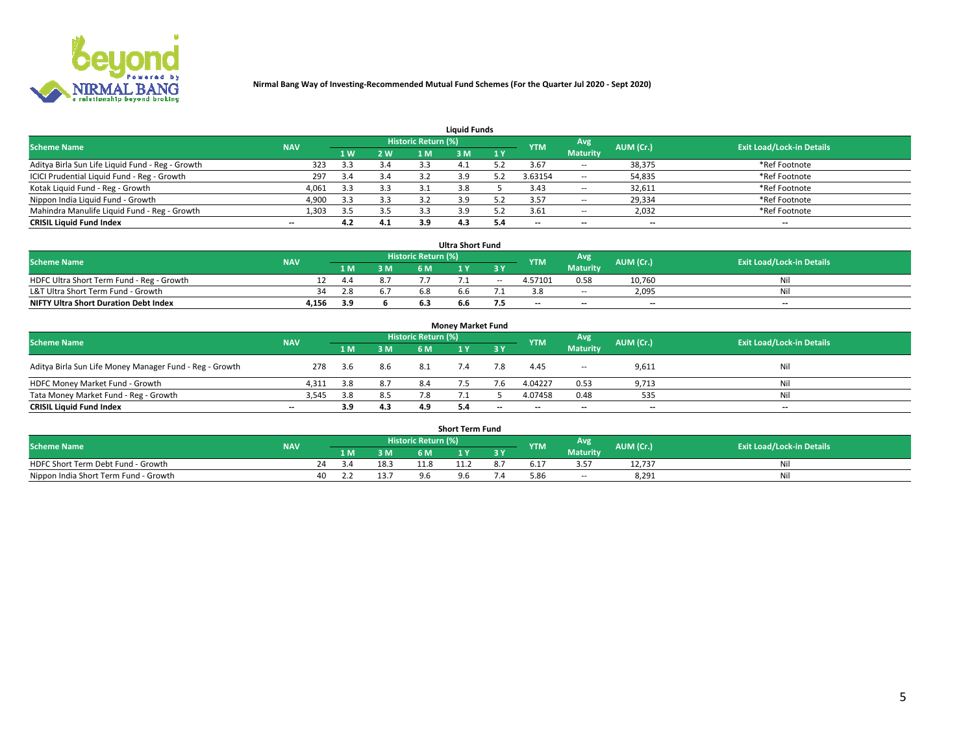

| <b>Liquid Funds</b>                              |            |     |     |                     |     |     |                          |                 |                          |                                  |  |  |  |  |
|--------------------------------------------------|------------|-----|-----|---------------------|-----|-----|--------------------------|-----------------|--------------------------|----------------------------------|--|--|--|--|
| <b>Scheme Name</b>                               | <b>NAV</b> |     |     | Historic Return (%) |     |     | <b>YTM</b>               | Avg             | AUM (Cr.)                | <b>Exit Load/Lock-in Details</b> |  |  |  |  |
|                                                  |            | 1 W | 2 W | 1 M                 | : M | 1Y  |                          | <b>Maturity</b> |                          |                                  |  |  |  |  |
| Aditya Birla Sun Life Liquid Fund - Reg - Growth | 323        |     | 3.4 | 3.3                 |     |     | 3.67                     | $\sim$ $-$      | 38,375                   | *Ref Footnote                    |  |  |  |  |
| ICICI Prudential Liquid Fund - Reg - Growth      | 297        | 3.4 | 3.4 |                     |     |     | 3.63154                  | $\sim$ $-$      | 54,835                   | *Ref Footnote                    |  |  |  |  |
| Kotak Liquid Fund - Reg - Growth                 | 4,061      |     | 3.3 |                     |     |     | 3.43                     | $\sim$ $-$      | 32,611                   | *Ref Footnote                    |  |  |  |  |
| Nippon India Liquid Fund - Growth                | 4,900      | 3.3 | 3.3 | 3.2                 |     |     | 3.57                     | $\sim$ $-$      | 29,334                   | *Ref Footnote                    |  |  |  |  |
| Mahindra Manulife Liquid Fund - Reg - Growth     | 1,303      | 3.5 | 3.5 |                     | 3.9 |     | 3.61                     | $\sim$ $-$      | 2,032                    | *Ref Footnote                    |  |  |  |  |
| <b>CRISIL Liquid Fund Index</b>                  | $- -$      | 4.2 | 4.1 | 3.9                 | 4.3 | 5.4 | $\overline{\phantom{a}}$ | $- -$           | $\overline{\phantom{a}}$ | $\overline{\phantom{m}}$         |  |  |  |  |

| <b>Ultra Short Fund</b>                      |            |      |     |                            |     |        |            |                 |                          |                                  |  |  |  |  |
|----------------------------------------------|------------|------|-----|----------------------------|-----|--------|------------|-----------------|--------------------------|----------------------------------|--|--|--|--|
| <b>Scheme Name</b>                           | <b>NAV</b> |      |     | <b>Historic Return (%)</b> |     |        | <b>YTM</b> | Avg             | AUM (Cr.)                | <b>Exit Load/Lock-in Details</b> |  |  |  |  |
|                                              |            | 1 M. | 3 M | 6 M                        |     |        |            | <b>Maturity</b> |                          |                                  |  |  |  |  |
| HDFC Ultra Short Term Fund - Reg - Growth    |            | 4.4  | 8.7 |                            |     | $\sim$ | 4.57101    | 0.58            | 10.760                   | Nil                              |  |  |  |  |
| L&T Ultra Short Term Fund - Growth           | 34         | 2.8  |     |                            | h h |        |            | <b>COLUM</b>    | 2,095                    | Nil                              |  |  |  |  |
| <b>NIFTY Ultra Short Duration Debt Index</b> | 4,156      | 3.9  |     |                            | b.b |        | $-$        | $- -$           | $\overline{\phantom{a}}$ | $-$                              |  |  |  |  |

| <b>Money Market Fund</b>                                                                                                      |                          |      |     |     |     |       |                          |                 |                          |                          |  |  |  |  |
|-------------------------------------------------------------------------------------------------------------------------------|--------------------------|------|-----|-----|-----|-------|--------------------------|-----------------|--------------------------|--------------------------|--|--|--|--|
| Historic Return (%)<br>Avg<br><b>Scheme Name</b><br>AUM (Cr.)<br><b>Exit Load/Lock-in Details</b><br><b>NAV</b><br><b>YTM</b> |                          |      |     |     |     |       |                          |                 |                          |                          |  |  |  |  |
|                                                                                                                               |                          | 1 M  | 3 M | 6 M |     | 3 Y   |                          | <b>Maturity</b> |                          |                          |  |  |  |  |
| Aditya Birla Sun Life Money Manager Fund - Reg - Growth                                                                       | 278                      | -3.6 | 8.6 | 8.1 | 7.4 | 7.8   | 4.45                     | $\sim$ $-$      | 9,611                    | Nil                      |  |  |  |  |
| HDFC Money Market Fund - Growth                                                                                               | 4.311                    | 3.8  | 8.7 | 8.4 |     |       | 4.04227                  | 0.53            | 9,713                    | Nil                      |  |  |  |  |
| Tata Money Market Fund - Reg - Growth                                                                                         | 3,545                    | 3.8  | 8.5 | 7.8 |     |       | 4.07458                  | 0.48            | 535                      | Nil                      |  |  |  |  |
| <b>CRISIL Liquid Fund Index</b>                                                                                               | $\overline{\phantom{a}}$ | 3.9  | 4.3 | 4.9 |     | $- -$ | $\overline{\phantom{a}}$ | $- -$           | $\overline{\phantom{a}}$ | $\overline{\phantom{a}}$ |  |  |  |  |

|                                       | <b>Short Term Fund</b> |     |     |      |                            |                     |     |            |                 |           |                                  |  |  |  |  |
|---------------------------------------|------------------------|-----|-----|------|----------------------------|---------------------|-----|------------|-----------------|-----------|----------------------------------|--|--|--|--|
| <b>Scheme Name</b>                    | <b>NAV</b>             |     |     |      | <b>Historic Return (%)</b> |                     |     | <b>YTM</b> | Avg             | AUM (Cr.) | <b>Exit Load/Lock-in Details</b> |  |  |  |  |
|                                       |                        |     | 1 M | 3 M  |                            |                     | 3 Y |            | <b>Maturity</b> |           |                                  |  |  |  |  |
| HDFC Short Term Debt Fund - Growth    |                        | 24. |     | 18.3 | 11.8                       |                     |     |            | 35              | 12.737    | Nıl                              |  |  |  |  |
| Nippon India Short Term Fund - Growth |                        | 40  |     | 13.7 |                            | $\Omega$ $\epsilon$ |     | 5.86       | --              | 8,291     | Nil                              |  |  |  |  |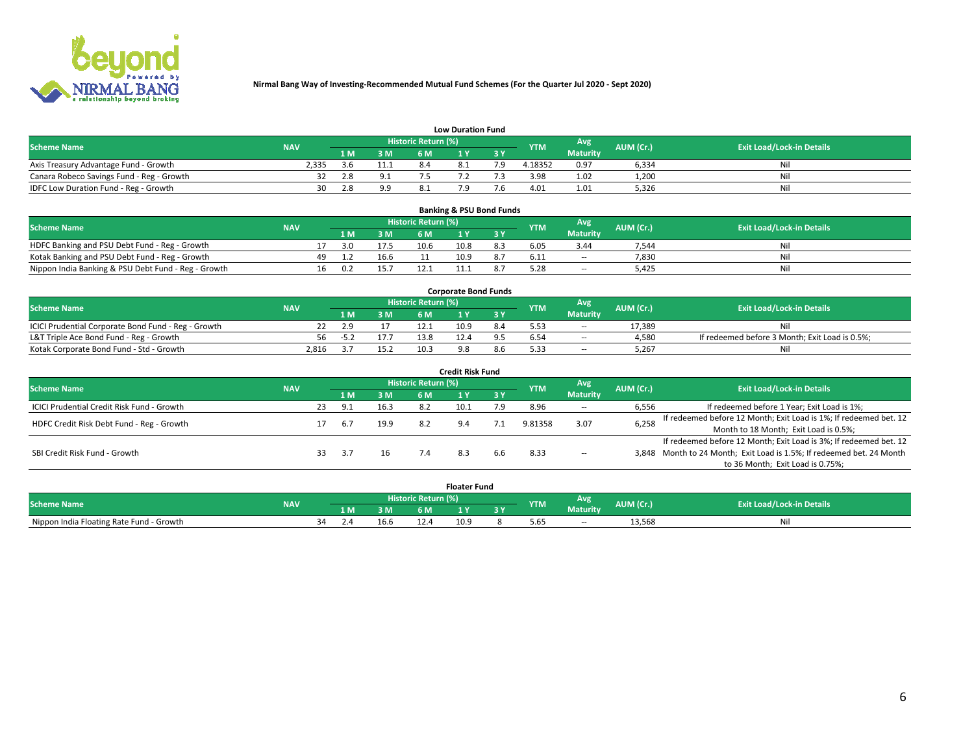

|                                           | <b>Low Duration Fund</b> |      |              |                     |          |     |            |                 |           |                                  |  |  |  |  |  |
|-------------------------------------------|--------------------------|------|--------------|---------------------|----------|-----|------------|-----------------|-----------|----------------------------------|--|--|--|--|--|
| <b>Scheme Name</b>                        | <b>NAV</b>               |      |              | Historic Return (%) |          |     | <b>YTM</b> | <b>Avg</b>      | AUM (Cr.) | <b>Exit Load/Lock-in Details</b> |  |  |  |  |  |
|                                           |                          | 1 M. | 3 M          | 6 M                 |          | 2 V |            | <b>Maturity</b> |           |                                  |  |  |  |  |  |
| Axis Treasury Advantage Fund - Growth     | 2.335                    | 3.6  | 11.1         |                     | $\Omega$ |     | 4.18352    | 0.97            | 6,334     | Nil                              |  |  |  |  |  |
| Canara Robeco Savings Fund - Reg - Growth |                          | 2.8  | $^{\circ}$ 1 |                     |          |     | 3.98       | 1.02            | 1,200     | Nil                              |  |  |  |  |  |
| IDFC Low Duration Fund - Reg - Growth     | 30                       | 2.8  | 9.9          |                     |          |     | 4.01       | 1.01            | 5,326     | Nil                              |  |  |  |  |  |

| <b>Banking &amp; PSU Bond Funds</b>                 |            |     |     |      |                     |      |           |            |                 |           |                                  |  |  |  |
|-----------------------------------------------------|------------|-----|-----|------|---------------------|------|-----------|------------|-----------------|-----------|----------------------------------|--|--|--|
| <b>Scheme Name</b>                                  | <b>NAV</b> |     |     |      | Historic Return (%) |      |           | <b>YTM</b> | Avg             | AUM (Cr.) | <b>Exit Load/Lock-in Details</b> |  |  |  |
|                                                     |            |     | 1 M | 3 M  | 6 M                 |      | <b>AV</b> |            | <b>Maturity</b> |           |                                  |  |  |  |
| HDFC Banking and PSU Debt Fund - Reg - Growth       |            |     | 3.0 | 17.5 | 10.6                | 10.8 | 8.3       | 6.05       | 3.44            | 7,544     | Νi                               |  |  |  |
| Kotak Banking and PSU Debt Fund - Reg - Growth      |            | 49. |     | 16.6 |                     | 10.9 | 8.7       | 6.11       | $\sim$ $-$      | 7.830     | Ni                               |  |  |  |
| Nippon India Banking & PSU Debt Fund - Reg - Growth |            | 16  | 0.2 | 15.7 |                     |      |           |            | --              | 5.425     | Ni                               |  |  |  |

| <b>Corporate Bond Funds</b>                         |            |     |      |                            |      |  |            |                 |           |                                                |  |  |  |  |
|-----------------------------------------------------|------------|-----|------|----------------------------|------|--|------------|-----------------|-----------|------------------------------------------------|--|--|--|--|
| <b>Scheme Name</b>                                  | <b>NAV</b> |     |      | <b>Historic Return (%)</b> |      |  | <b>YTM</b> | Avg             | AUM (Cr.) | <b>Exit Load/Lock-in Details</b>               |  |  |  |  |
|                                                     |            |     | 3 M  | 6 M                        |      |  |            | <b>Maturity</b> |           |                                                |  |  |  |  |
| ICICI Prudential Corporate Bond Fund - Reg - Growth |            |     |      |                            | 10.9 |  |            | --              | 17.389    | Nil                                            |  |  |  |  |
| L&T Triple Ace Bond Fund - Reg - Growth             |            | -57 |      | 13.8                       |      |  |            | $\sim$          | 4,580     | If redeemed before 3 Month; Exit Load is 0.5%; |  |  |  |  |
| Kotak Corporate Bond Fund - Std - Growth            | 2,816      |     | 15.2 | 10.3                       |      |  | 5.33       | $\sim$ $-$      | 5.267     | Nil                                            |  |  |  |  |

| <b>Credit Risk Fund</b>                    |            |    |       |      |                            |      |           |            |                 |           |                                                                       |  |  |  |
|--------------------------------------------|------------|----|-------|------|----------------------------|------|-----------|------------|-----------------|-----------|-----------------------------------------------------------------------|--|--|--|
| <b>Scheme Name</b>                         | <b>NAV</b> |    |       |      | <b>Historic Return (%)</b> |      |           | <b>YTM</b> | Avg             | AUM (Cr.) | <b>Exit Load/Lock-in Details</b>                                      |  |  |  |
|                                            |            |    | 1 M   | 3 M  | 6 M                        |      | <b>3Y</b> |            | <b>Maturity</b> |           |                                                                       |  |  |  |
| ICICI Prudential Credit Risk Fund - Growth |            | 23 | - Q 1 | 16.3 | 8.2                        | 10.1 | 7.9       | 8.96       | $\sim$ $-$      | 6,556     | If redeemed before 1 Year; Exit Load is 1%;                           |  |  |  |
| HDFC Credit Risk Debt Fund - Reg - Growth  |            |    |       | 19.9 | 8.2                        |      |           | 9.81358    | 3.07            | 6,258     | If redeemed before 12 Month; Exit Load is 1%; If redeemed bet. 12     |  |  |  |
|                                            |            |    |       |      |                            |      |           |            |                 |           | Month to 18 Month; Exit Load is 0.5%;                                 |  |  |  |
|                                            |            |    |       |      |                            |      |           |            |                 |           | If redeemed before 12 Month; Exit Load is 3%; If redeemed bet. 12     |  |  |  |
| SBI Credit Risk Fund - Growth              |            |    |       |      |                            |      | 6.6       | 8.33       | $\sim$ $-$      |           | 3,848 Month to 24 Month; Exit Load is 1.5%; If redeemed bet. 24 Month |  |  |  |
|                                            |            |    |       |      |                            |      |           |            |                 |           | to 36 Month; Exit Load is 0.75%;                                      |  |  |  |

| <b>Floater Fund</b>                      |            |    |     |                |                            |      |     |            |                 |            |                                  |
|------------------------------------------|------------|----|-----|----------------|----------------------------|------|-----|------------|-----------------|------------|----------------------------------|
| <b>Scheme Name</b>                       | <b>NAV</b> |    |     |                | <b>Historic Return (%)</b> |      |     | <b>YTM</b> | Avg             | AUM (Cr.). | <b>Exit Load/Lock-in Details</b> |
|                                          |            |    | 1 M | 3 M            | 6 M                        | i v  | י כ |            | <b>Maturity</b> |            |                                  |
| Nippon India Floating Rate Fund - Growth |            | ٦Δ |     | $\sim$<br>16.b |                            | 10.9 |     | 5.65       | $\sim$ $-$      | 13,568     | Νı                               |